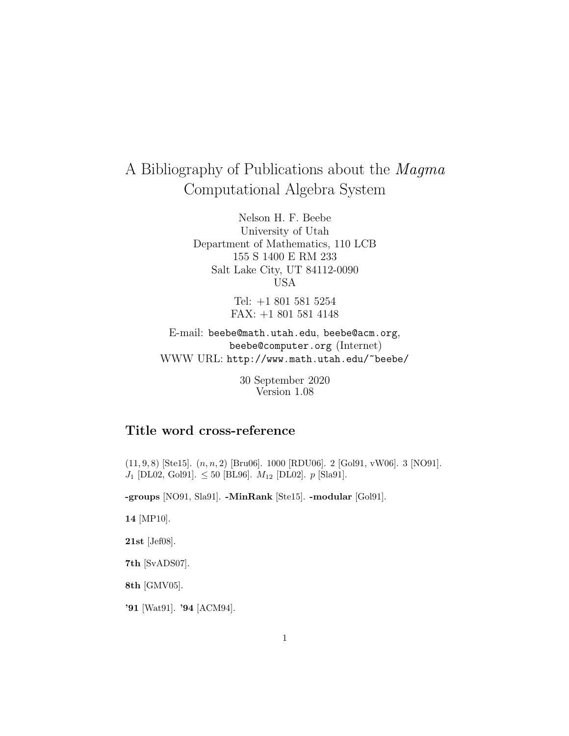# A Bibliography of Publications about the Magma Computational Algebra System

Nelson H. F. Beebe University of Utah Department of Mathematics, 110 LCB 155 S 1400 E RM 233 Salt Lake City, UT 84112-0090 USA

> Tel: +1 801 581 5254 FAX: +1 801 581 4148

E-mail: beebe@math.utah.edu, beebe@acm.org, beebe@computer.org (Internet) WWW URL: http://www.math.utah.edu/~beebe/

> 30 September 2020 Version 1.08

# **Title word cross-reference**

 $(11, 9, 8)$  [Ste15].  $(n, n, 2)$  [Bru06]. 1000 [RDU06]. 2 [Gol91, vW06]. 3 [NO91].  $J_1$  [DL02, Gol91].  $\leq 50$  [BL96].  $M_{12}$  [DL02].  $p$  [Sla91].

**-groups** [NO91, Sla91]. **-MinRank** [Ste15]. **-modular** [Gol91].

**14** [MP10].

**21st** [Jef08].

**7th** [SvADS07].

**8th** [GMV05].

**'91** [Wat91]. **'94** [ACM94].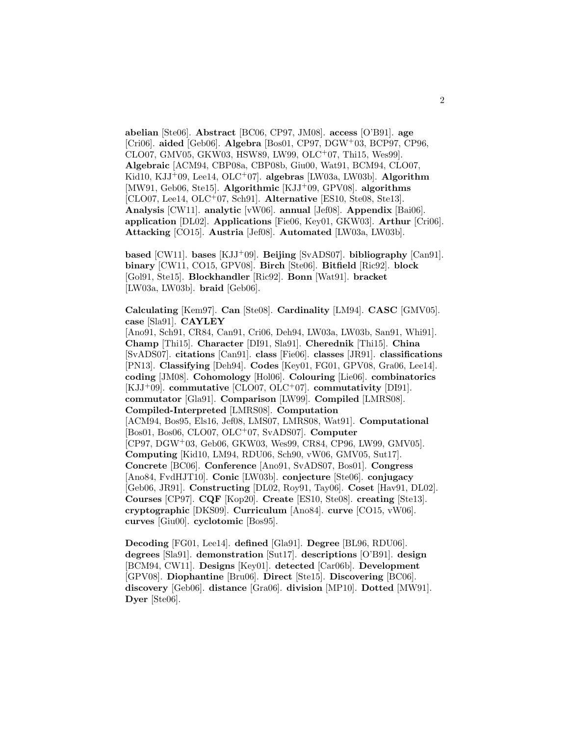**abelian** [Ste06]. **Abstract** [BC06, CP97, JM08]. **access** [O'B91]. **age** [Cri06]. **aided** [Geb06]. **Algebra** [Bos01, CP97, DGW<sup>+</sup>03, BCP97, CP96, CLO07, GMV05, GKW03, HSW89, LW99, OLC<sup>+</sup>07, Thi15, Wes99]. **Algebraic** [ACM94, CBP08a, CBP08b, Giu00, Wat91, BCM94, CLO07, Kid10, KJJ<sup>+</sup>09, Lee14, OLC<sup>+</sup>07]. **algebras** [LW03a, LW03b]. **Algorithm** [MW91, Geb06, Ste15]. **Algorithmic** [KJJ<sup>+</sup>09, GPV08]. **algorithms** [CLO07, Lee14, OLC<sup>+</sup>07, Sch91]. **Alternative** [ES10, Ste08, Ste13]. **Analysis** [CW11]. **analytic** [vW06]. **annual** [Jef08]. **Appendix** [Bai06]. **application** [DL02]. **Applications** [Fie06, Key01, GKW03]. **Arthur** [Cri06]. **Attacking** [CO15]. **Austria** [Jef08]. **Automated** [LW03a, LW03b].

**based** [CW11]. **bases** [KJJ<sup>+</sup>09]. **Beijing** [SvADS07]. **bibliography** [Can91]. **binary** [CW11, CO15, GPV08]. **Birch** [Ste06]. **Bitfield** [Ric92]. **block** [Gol91, Ste15]. **Blockhandler** [Ric92]. **Bonn** [Wat91]. **bracket** [LW03a, LW03b]. **braid** [Geb06].

**Calculating** [Kem97]. **Can** [Ste08]. **Cardinality** [LM94]. **CASC** [GMV05]. **case** [Sla91]. **CAYLEY**

[Ano91, Sch91, CR84, Can91, Cri06, Deh94, LW03a, LW03b, San91, Whi91]. **Champ** [Thi15]. **Character** [DI91, Sla91]. **Cherednik** [Thi15]. **China** [SvADS07]. **citations** [Can91]. **class** [Fie06]. **classes** [JR91]. **classifications** [PN13]. **Classifying** [Deh94]. **Codes** [Key01, FG01, GPV08, Gra06, Lee14]. **coding** [JM08]. **Cohomology** [Hol06]. **Colouring** [Lie06]. **combinatorics** [KJJ<sup>+</sup>09]. **commutative** [CLO07, OLC<sup>+</sup>07]. **commutativity** [DI91]. **commutator** [Gla91]. **Comparison** [LW99]. **Compiled** [LMRS08]. **Compiled-Interpreted** [LMRS08]. **Computation** [ACM94, Bos95, Els16, Jef08, LMS07, LMRS08, Wat91]. **Computational** [Bos01, Bos06, CLO07, OLC<sup>+</sup>07, SvADS07]. **Computer** [CP97, DGW<sup>+</sup>03, Geb06, GKW03, Wes99, CR84, CP96, LW99, GMV05]. **Computing** [Kid10, LM94, RDU06, Sch90, vW06, GMV05, Sut17]. **Concrete** [BC06]. **Conference** [Ano91, SvADS07, Bos01]. **Congress** [Ano84, FvdHJT10]. **Conic** [LW03b]. **conjecture** [Ste06]. **conjugacy** [Geb06, JR91]. **Constructing** [DL02, Roy91, Tay06]. **Coset** [Hav91, DL02]. **Courses** [CP97]. **CQF** [Kop20]. **Create** [ES10, Ste08]. **creating** [Ste13]. **cryptographic** [DKS09]. **Curriculum** [Ano84]. **curve** [CO15, vW06]. **curves** [Giu00]. **cyclotomic** [Bos95].

**Decoding** [FG01, Lee14]. **defined** [Gla91]. **Degree** [BL96, RDU06]. **degrees** [Sla91]. **demonstration** [Sut17]. **descriptions** [O'B91]. **design** [BCM94, CW11]. **Designs** [Key01]. **detected** [Car06b]. **Development** [GPV08]. **Diophantine** [Bru06]. **Direct** [Ste15]. **Discovering** [BC06]. **discovery** [Geb06]. **distance** [Gra06]. **division** [MP10]. **Dotted** [MW91]. **Dyer** [Ste06].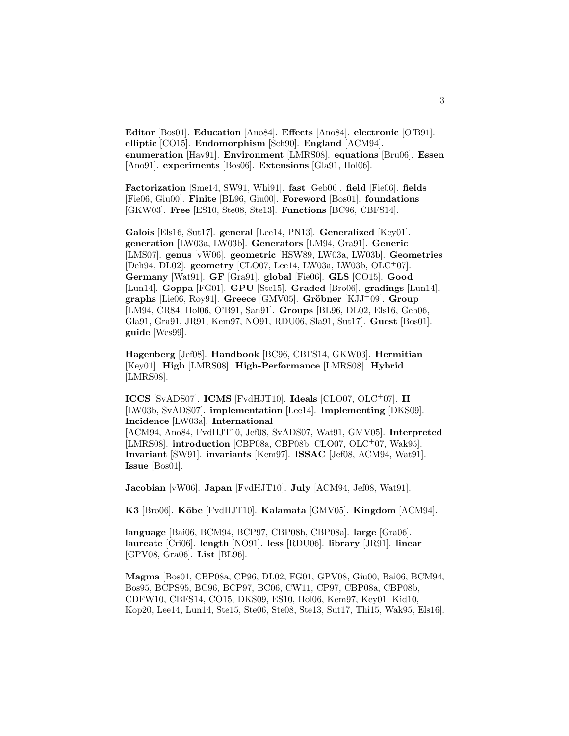**Editor** [Bos01]. **Education** [Ano84]. **Effects** [Ano84]. **electronic** [O'B91]. **elliptic** [CO15]. **Endomorphism** [Sch90]. **England** [ACM94]. **enumeration** [Hav91]. **Environment** [LMRS08]. **equations** [Bru06]. **Essen** [Ano91]. **experiments** [Bos06]. **Extensions** [Gla91, Hol06].

**Factorization** [Sme14, SW91, Whi91]. **fast** [Geb06]. **field** [Fie06]. **fields** [Fie06, Giu00]. **Finite** [BL96, Giu00]. **Foreword** [Bos01]. **foundations** [GKW03]. **Free** [ES10, Ste08, Ste13]. **Functions** [BC96, CBFS14].

**Galois** [Els16, Sut17]. **general** [Lee14, PN13]. **Generalized** [Key01]. **generation** [LW03a, LW03b]. **Generators** [LM94, Gra91]. **Generic** [LMS07]. **genus** [vW06]. **geometric** [HSW89, LW03a, LW03b]. **Geometries** [Deh94, DL02]. **geometry** [CLO07, Lee14, LW03a, LW03b, OLC<sup>+</sup>07]. **Germany** [Wat91]. **GF** [Gra91]. **global** [Fie06]. **GLS** [CO15]. **Good** [Lun14]. **Goppa** [FG01]. **GPU** [Ste15]. **Graded** [Bro06]. **gradings** [Lun14]. **graphs** [Lie06, Roy91]. **Greece** [GMV05]. **Gröbner** [KJJ+09]. **Group** [LM94, CR84, Hol06, O'B91, San91]. **Groups** [BL96, DL02, Els16, Geb06, Gla91, Gra91, JR91, Kem97, NO91, RDU06, Sla91, Sut17]. **Guest** [Bos01]. **guide** [Wes99].

**Hagenberg** [Jef08]. **Handbook** [BC96, CBFS14, GKW03]. **Hermitian** [Key01]. **High** [LMRS08]. **High-Performance** [LMRS08]. **Hybrid** [LMRS08].

**ICCS** [SvADS07]. **ICMS** [FvdHJT10]. **Ideals** [CLO07, OLC<sup>+</sup>07]. **II** [LW03b, SvADS07]. **implementation** [Lee14]. **Implementing** [DKS09]. **Incidence** [LW03a]. **International** [ACM94, Ano84, FvdHJT10, Jef08, SvADS07, Wat91, GMV05]. **Interpreted**

[LMRS08]. **introduction** [CBP08a, CBP08b, CLO07, OLC<sup>+</sup>07, Wak95]. **Invariant** [SW91]. **invariants** [Kem97]. **ISSAC** [Jef08, ACM94, Wat91]. **Issue** [Bos01].

**Jacobian** [vW06]. **Japan** [FvdHJT10]. **July** [ACM94, Jef08, Wat91].

**K3** [Bro06]. **K¯obe** [FvdHJT10]. **Kalamata** [GMV05]. **Kingdom** [ACM94].

**language** [Bai06, BCM94, BCP97, CBP08b, CBP08a]. **large** [Gra06]. **laureate** [Cri06]. **length** [NO91]. **less** [RDU06]. **library** [JR91]. **linear** [GPV08, Gra06]. **List** [BL96].

**Magma** [Bos01, CBP08a, CP96, DL02, FG01, GPV08, Giu00, Bai06, BCM94, Bos95, BCPS95, BC96, BCP97, BC06, CW11, CP97, CBP08a, CBP08b, CDFW10, CBFS14, CO15, DKS09, ES10, Hol06, Kem97, Key01, Kid10, Kop20, Lee14, Lun14, Ste15, Ste06, Ste08, Ste13, Sut17, Thi15, Wak95, Els16].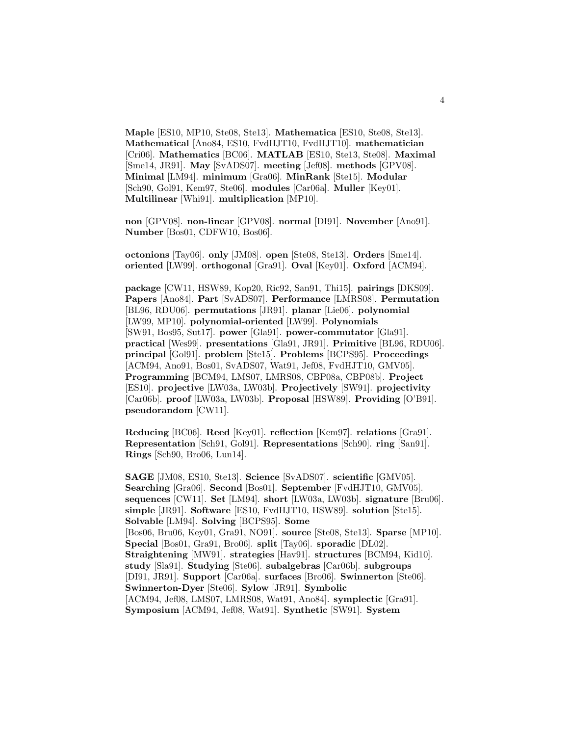**Maple** [ES10, MP10, Ste08, Ste13]. **Mathematica** [ES10, Ste08, Ste13]. **Mathematical** [Ano84, ES10, FvdHJT10, FvdHJT10]. **mathematician** [Cri06]. **Mathematics** [BC06]. **MATLAB** [ES10, Ste13, Ste08]. **Maximal** [Sme14, JR91]. **May** [SvADS07]. **meeting** [Jef08]. **methods** [GPV08]. **Minimal** [LM94]. **minimum** [Gra06]. **MinRank** [Ste15]. **Modular** [Sch90, Gol91, Kem97, Ste06]. **modules** [Car06a]. **Muller** [Key01]. **Multilinear** [Whi91]. **multiplication** [MP10].

**non** [GPV08]. **non-linear** [GPV08]. **normal** [DI91]. **November** [Ano91]. **Number** [Bos01, CDFW10, Bos06].

**octonions** [Tay06]. **only** [JM08]. **open** [Ste08, Ste13]. **Orders** [Sme14]. **oriented** [LW99]. **orthogonal** [Gra91]. **Oval** [Key01]. **Oxford** [ACM94].

**package** [CW11, HSW89, Kop20, Ric92, San91, Thi15]. **pairings** [DKS09]. **Papers** [Ano84]. **Part** [SvADS07]. **Performance** [LMRS08]. **Permutation** [BL96, RDU06]. **permutations** [JR91]. **planar** [Lie06]. **polynomial** [LW99, MP10]. **polynomial-oriented** [LW99]. **Polynomials** [SW91, Bos95, Sut17]. **power** [Gla91]. **power-commutator** [Gla91]. **practical** [Wes99]. **presentations** [Gla91, JR91]. **Primitive** [BL96, RDU06]. **principal** [Gol91]. **problem** [Ste15]. **Problems** [BCPS95]. **Proceedings** [ACM94, Ano91, Bos01, SvADS07, Wat91, Jef08, FvdHJT10, GMV05]. **Programming** [BCM94, LMS07, LMRS08, CBP08a, CBP08b]. **Project** [ES10]. **projective** [LW03a, LW03b]. **Projectively** [SW91]. **projectivity** [Car06b]. **proof** [LW03a, LW03b]. **Proposal** [HSW89]. **Providing** [O'B91]. **pseudorandom** [CW11].

**Reducing** [BC06]. **Reed** [Key01]. **reflection** [Kem97]. **relations** [Gra91]. **Representation** [Sch91, Gol91]. **Representations** [Sch90]. **ring** [San91]. **Rings** [Sch90, Bro06, Lun14].

**SAGE** [JM08, ES10, Ste13]. **Science** [SvADS07]. **scientific** [GMV05]. **Searching** [Gra06]. **Second** [Bos01]. **September** [FvdHJT10, GMV05]. **sequences** [CW11]. **Set** [LM94]. **short** [LW03a, LW03b]. **signature** [Bru06]. **simple** [JR91]. **Software** [ES10, FvdHJT10, HSW89]. **solution** [Ste15]. **Solvable** [LM94]. **Solving** [BCPS95]. **Some** [Bos06, Bru06, Key01, Gra91, NO91]. **source** [Ste08, Ste13]. **Sparse** [MP10]. **Special** [Bos01, Gra91, Bro06]. **split** [Tay06]. **sporadic** [DL02]. **Straightening** [MW91]. **strategies** [Hav91]. **structures** [BCM94, Kid10]. **study** [Sla91]. **Studying** [Ste06]. **subalgebras** [Car06b]. **subgroups** [DI91, JR91]. **Support** [Car06a]. **surfaces** [Bro06]. **Swinnerton** [Ste06]. **Swinnerton-Dyer** [Ste06]. **Sylow** [JR91]. **Symbolic** [ACM94, Jef08, LMS07, LMRS08, Wat91, Ano84]. **symplectic** [Gra91]. **Symposium** [ACM94, Jef08, Wat91]. **Synthetic** [SW91]. **System**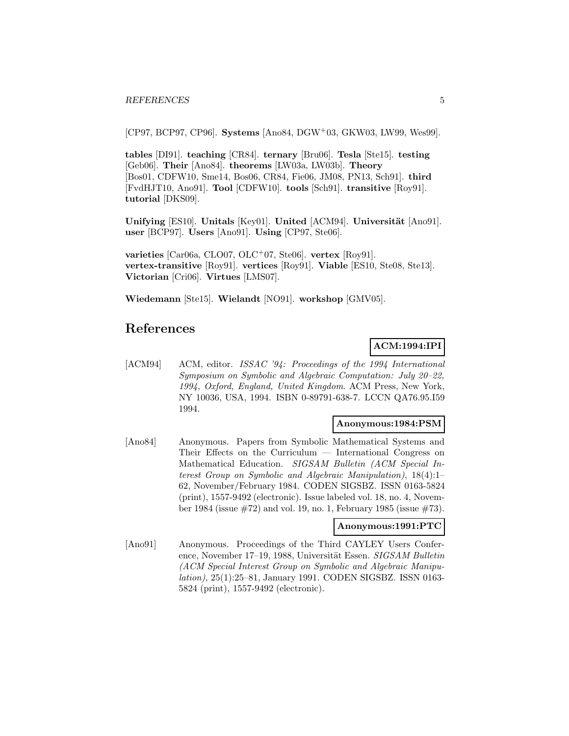[CP97, BCP97, CP96]. **Systems** [Ano84, DGW<sup>+</sup>03, GKW03, LW99, Wes99].

**tables** [DI91]. **teaching** [CR84]. **ternary** [Bru06]. **Tesla** [Ste15]. **testing** [Geb06]. **Their** [Ano84]. **theorems** [LW03a, LW03b]. **Theory** [Bos01, CDFW10, Sme14, Bos06, CR84, Fie06, JM08, PN13, Sch91]. **third** [FvdHJT10, Ano91]. **Tool** [CDFW10]. **tools** [Sch91]. **transitive** [Roy91]. **tutorial** [DKS09].

**Unifying** [ES10]. **Unitals** [Key01]. **United** [ACM94]. **Universität** [Ano91]. **user** [BCP97]. **Users** [Ano91]. **Using** [CP97, Ste06].

**varieties** [Car06a, CLO07, OLC<sup>+</sup>07, Ste06]. **vertex** [Roy91]. **vertex-transitive** [Roy91]. **vertices** [Roy91]. **Viable** [ES10, Ste08, Ste13]. **Victorian** [Cri06]. **Virtues** [LMS07].

**Wiedemann** [Ste15]. **Wielandt** [NO91]. **workshop** [GMV05].

# **References**

### **ACM:1994:IPI**

[ACM94] ACM, editor. ISSAC '94: Proceedings of the 1994 International Symposium on Symbolic and Algebraic Computation: July 20–22, 1994, Oxford, England, United Kingdom. ACM Press, New York, NY 10036, USA, 1994. ISBN 0-89791-638-7. LCCN QA76.95.I59 1994.

#### **Anonymous:1984:PSM**

[Ano84] Anonymous. Papers from Symbolic Mathematical Systems and Their Effects on the Curriculum — International Congress on Mathematical Education. SIGSAM Bulletin (ACM Special Interest Group on Symbolic and Algebraic Manipulation), 18(4):1– 62, November/February 1984. CODEN SIGSBZ. ISSN 0163-5824 (print), 1557-9492 (electronic). Issue labeled vol. 18, no. 4, November 1984 (issue  $\#72$ ) and vol. 19, no. 1, February 1985 (issue  $\#73$ ).

#### **Anonymous:1991:PTC**

[Ano91] Anonymous. Proceedings of the Third CAYLEY Users Conference, November 17–19, 1988, Universität Essen. SIGSAM Bulletin (ACM Special Interest Group on Symbolic and Algebraic Manipulation), 25(1):25–81, January 1991. CODEN SIGSBZ. ISSN 0163- 5824 (print), 1557-9492 (electronic).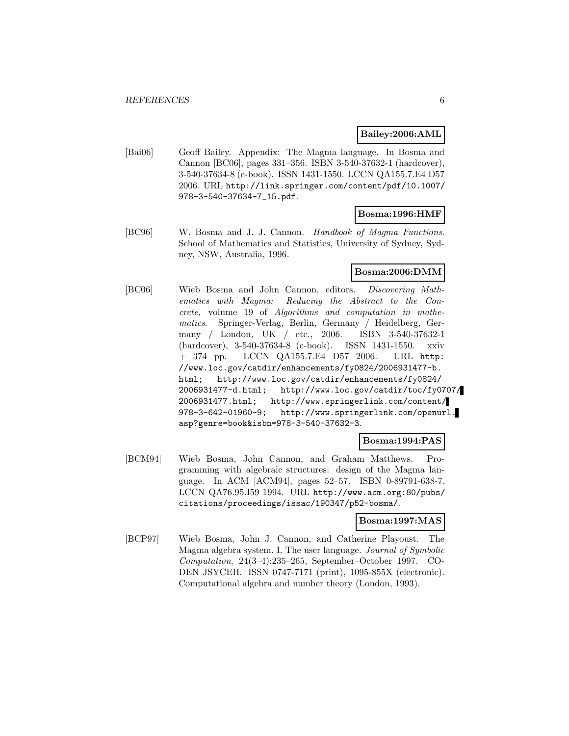#### **Bailey:2006:AML**

[Bai06] Geoff Bailey. Appendix: The Magma language. In Bosma and Cannon [BC06], pages 331–356. ISBN 3-540-37632-1 (hardcover), 3-540-37634-8 (e-book). ISSN 1431-1550. LCCN QA155.7.E4 D57 2006. URL http://link.springer.com/content/pdf/10.1007/ 978-3-540-37634-7\_15.pdf.

#### **Bosma:1996:HMF**

[BC96] W. Bosma and J. J. Cannon. Handbook of Magma Functions. School of Mathematics and Statistics, University of Sydney, Sydney, NSW, Australia, 1996.

#### **Bosma:2006:DMM**

[BC06] Wieb Bosma and John Cannon, editors. Discovering Mathematics with Magma: Reducing the Abstract to the Concrete, volume 19 of Algorithms and computation in mathematics. Springer-Verlag, Berlin, Germany / Heidelberg, Germany / London, UK / etc., 2006. ISBN 3-540-37632-1 (hardcover), 3-540-37634-8 (e-book). ISSN 1431-1550. xxiv + 374 pp. LCCN QA155.7.E4 D57 2006. URL http: //www.loc.gov/catdir/enhancements/fy0824/2006931477-b. html; http://www.loc.gov/catdir/enhancements/fy0824/ 2006931477-d.html; http://www.loc.gov/catdir/toc/fy0707/ 2006931477.html; http://www.springerlink.com/content/ 978-3-642-01960-9; http://www.springerlink.com/openurl. asp?genre=book&isbn=978-3-540-37632-3.

#### **Bosma:1994:PAS**

[BCM94] Wieb Bosma, John Cannon, and Graham Matthews. Programming with algebraic structures: design of the Magma language. In ACM [ACM94], pages 52–57. ISBN 0-89791-638-7. LCCN QA76.95.I59 1994. URL http://www.acm.org:80/pubs/ citations/proceedings/issac/190347/p52-bosma/.

### **Bosma:1997:MAS**

[BCP97] Wieb Bosma, John J. Cannon, and Catherine Playoust. The Magma algebra system. I. The user language. Journal of Symbolic Computation, 24(3–4):235–265, September–October 1997. CO-DEN JSYCEH. ISSN 0747-7171 (print), 1095-855X (electronic). Computational algebra and number theory (London, 1993).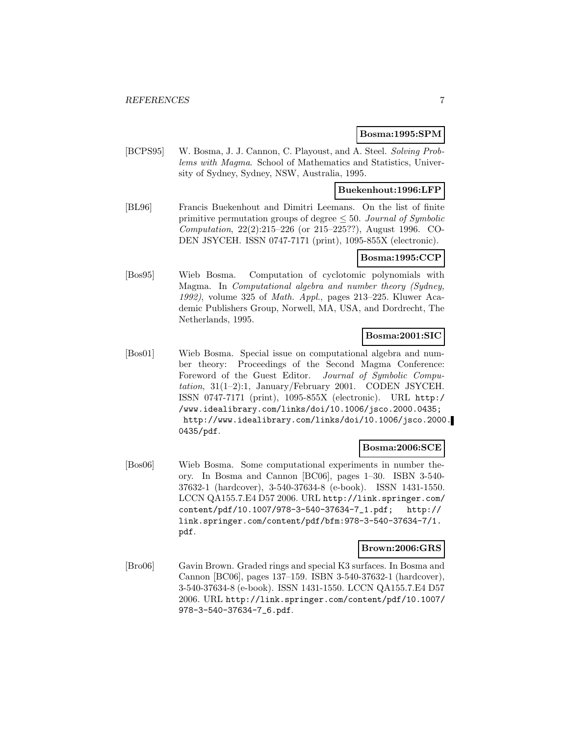#### **Bosma:1995:SPM**

[BCPS95] W. Bosma, J. J. Cannon, C. Playoust, and A. Steel. Solving Problems with Magma. School of Mathematics and Statistics, University of Sydney, Sydney, NSW, Australia, 1995.

#### **Buekenhout:1996:LFP**

[BL96] Francis Buekenhout and Dimitri Leemans. On the list of finite primitive permutation groups of degree  $\leq 50$ . Journal of Symbolic Computation, 22(2):215–226 (or 215–225??), August 1996. CO-DEN JSYCEH. ISSN 0747-7171 (print), 1095-855X (electronic).

### **Bosma:1995:CCP**

[Bos95] Wieb Bosma. Computation of cyclotomic polynomials with Magma. In Computational algebra and number theory (Sydney, 1992), volume 325 of Math. Appl., pages 213–225. Kluwer Academic Publishers Group, Norwell, MA, USA, and Dordrecht, The Netherlands, 1995.

# **Bosma:2001:SIC**

[Bos01] Wieb Bosma. Special issue on computational algebra and number theory: Proceedings of the Second Magma Conference: Foreword of the Guest Editor. Journal of Symbolic Computation, 31(1–2):1, January/February 2001. CODEN JSYCEH. ISSN 0747-7171 (print), 1095-855X (electronic). URL http:/ /www.idealibrary.com/links/doi/10.1006/jsco.2000.0435; http://www.idealibrary.com/links/doi/10.1006/jsco.2000. 0435/pdf.

### **Bosma:2006:SCE**

[Bos06] Wieb Bosma. Some computational experiments in number theory. In Bosma and Cannon [BC06], pages 1–30. ISBN 3-540- 37632-1 (hardcover), 3-540-37634-8 (e-book). ISSN 1431-1550. LCCN QA155.7.E4 D57 2006. URL http://link.springer.com/ content/pdf/10.1007/978-3-540-37634-7\_1.pdf; http:// link.springer.com/content/pdf/bfm:978-3-540-37634-7/1. pdf.

#### **Brown:2006:GRS**

[Bro06] Gavin Brown. Graded rings and special K3 surfaces. In Bosma and Cannon [BC06], pages 137–159. ISBN 3-540-37632-1 (hardcover), 3-540-37634-8 (e-book). ISSN 1431-1550. LCCN QA155.7.E4 D57 2006. URL http://link.springer.com/content/pdf/10.1007/ 978-3-540-37634-7\_6.pdf.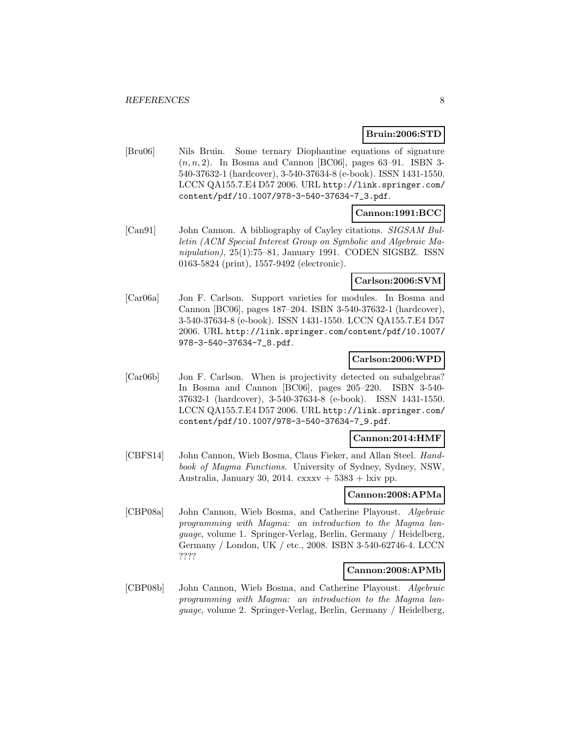#### **Bruin:2006:STD**

[Bru06] Nils Bruin. Some ternary Diophantine equations of signature  $(n, n, 2)$ . In Bosma and Cannon [BC06], pages 63–91. ISBN 3-540-37632-1 (hardcover), 3-540-37634-8 (e-book). ISSN 1431-1550. LCCN QA155.7.E4 D57 2006. URL http://link.springer.com/ content/pdf/10.1007/978-3-540-37634-7\_3.pdf.

### **Cannon:1991:BCC**

[Can91] John Cannon. A bibliography of Cayley citations. SIGSAM Bulletin (ACM Special Interest Group on Symbolic and Algebraic Manipulation), 25(1):75–81, January 1991. CODEN SIGSBZ. ISSN 0163-5824 (print), 1557-9492 (electronic).

### **Carlson:2006:SVM**

[Car06a] Jon F. Carlson. Support varieties for modules. In Bosma and Cannon [BC06], pages 187–204. ISBN 3-540-37632-1 (hardcover), 3-540-37634-8 (e-book). ISSN 1431-1550. LCCN QA155.7.E4 D57 2006. URL http://link.springer.com/content/pdf/10.1007/ 978-3-540-37634-7\_8.pdf.

### **Carlson:2006:WPD**

[Car06b] Jon F. Carlson. When is projectivity detected on subalgebras? In Bosma and Cannon [BC06], pages 205–220. ISBN 3-540- 37632-1 (hardcover), 3-540-37634-8 (e-book). ISSN 1431-1550. LCCN QA155.7.E4 D57 2006. URL http://link.springer.com/ content/pdf/10.1007/978-3-540-37634-7\_9.pdf.

### **Cannon:2014:HMF**

[CBFS14] John Cannon, Wieb Bosma, Claus Fieker, and Allan Steel. Handbook of Magma Functions. University of Sydney, Sydney, NSW, Australia, January 30, 2014. cxxxv +  $5383$  + lxiv pp.

### **Cannon:2008:APMa**

[CBP08a] John Cannon, Wieb Bosma, and Catherine Playoust. Algebraic programming with Magma: an introduction to the Magma language, volume 1. Springer-Verlag, Berlin, Germany / Heidelberg, Germany / London, UK / etc., 2008. ISBN 3-540-62746-4. LCCN ????

### **Cannon:2008:APMb**

[CBP08b] John Cannon, Wieb Bosma, and Catherine Playoust. Algebraic programming with Magma: an introduction to the Magma language, volume 2. Springer-Verlag, Berlin, Germany / Heidelberg,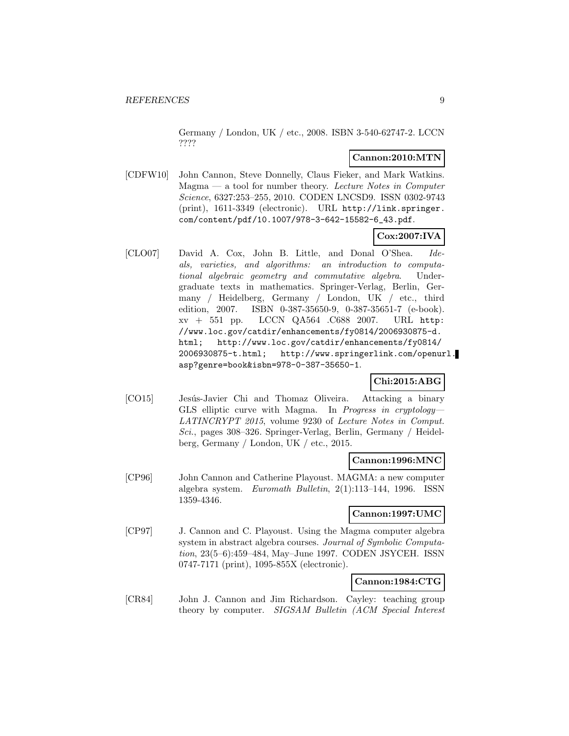Germany / London, UK / etc., 2008. ISBN 3-540-62747-2. LCCN ????

#### **Cannon:2010:MTN**

[CDFW10] John Cannon, Steve Donnelly, Claus Fieker, and Mark Watkins.  $Magma - a$  tool for number theory. Lecture Notes in Computer Science, 6327:253–255, 2010. CODEN LNCSD9. ISSN 0302-9743 (print), 1611-3349 (electronic). URL http://link.springer. com/content/pdf/10.1007/978-3-642-15582-6\_43.pdf.

### **Cox:2007:IVA**

[CLO07] David A. Cox, John B. Little, and Donal O'Shea. Ideals, varieties, and algorithms: an introduction to computational algebraic geometry and commutative algebra. Undergraduate texts in mathematics. Springer-Verlag, Berlin, Germany / Heidelberg, Germany / London, UK / etc., third edition, 2007. ISBN 0-387-35650-9, 0-387-35651-7 (e-book). xv + 551 pp. LCCN QA564 .C688 2007. URL http: //www.loc.gov/catdir/enhancements/fy0814/2006930875-d. html; http://www.loc.gov/catdir/enhancements/fy0814/ 2006930875-t.html; http://www.springerlink.com/openurl. asp?genre=book&isbn=978-0-387-35650-1.

### **Chi:2015:ABG**

[CO15] Jesús-Javier Chi and Thomaz Oliveira. Attacking a binary GLS elliptic curve with Magma. In Progress in cryptology— LATINCRYPT 2015, volume 9230 of Lecture Notes in Comput. Sci., pages 308–326. Springer-Verlag, Berlin, Germany / Heidelberg, Germany / London, UK / etc., 2015.

#### **Cannon:1996:MNC**

[CP96] John Cannon and Catherine Playoust. MAGMA: a new computer algebra system. Euromath Bulletin, 2(1):113–144, 1996. ISSN 1359-4346.

#### **Cannon:1997:UMC**

[CP97] J. Cannon and C. Playoust. Using the Magma computer algebra system in abstract algebra courses. Journal of Symbolic Computation, 23(5–6):459–484, May–June 1997. CODEN JSYCEH. ISSN 0747-7171 (print), 1095-855X (electronic).

### **Cannon:1984:CTG**

[CR84] John J. Cannon and Jim Richardson. Cayley: teaching group theory by computer. SIGSAM Bulletin (ACM Special Interest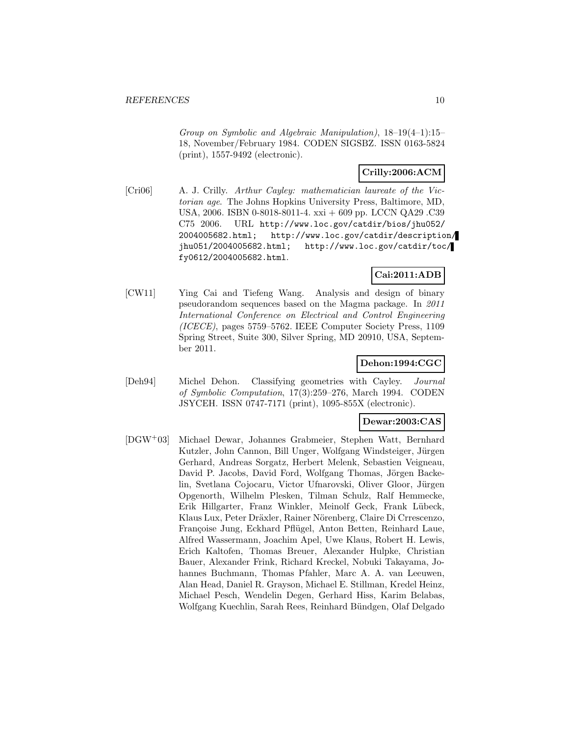Group on Symbolic and Algebraic Manipulation), 18–19(4–1):15– 18, November/February 1984. CODEN SIGSBZ. ISSN 0163-5824 (print), 1557-9492 (electronic).

### **Crilly:2006:ACM**

[Cri06] A. J. Crilly. Arthur Cayley: mathematician laureate of the Victorian age. The Johns Hopkins University Press, Baltimore, MD, USA, 2006. ISBN 0-8018-8011-4. xxi + 609 pp. LCCN QA29 .C39 C75 2006. URL http://www.loc.gov/catdir/bios/jhu052/ 2004005682.html; http://www.loc.gov/catdir/description/ jhu051/2004005682.html; http://www.loc.gov/catdir/toc/ fy0612/2004005682.html.

### **Cai:2011:ADB**

[CW11] Ying Cai and Tiefeng Wang. Analysis and design of binary pseudorandom sequences based on the Magma package. In 2011 International Conference on Electrical and Control Engineering (ICECE), pages 5759–5762. IEEE Computer Society Press, 1109 Spring Street, Suite 300, Silver Spring, MD 20910, USA, September 2011.

### **Dehon:1994:CGC**

[Deh94] Michel Dehon. Classifying geometries with Cayley. Journal of Symbolic Computation, 17(3):259–276, March 1994. CODEN JSYCEH. ISSN 0747-7171 (print), 1095-855X (electronic).

#### **Dewar:2003:CAS**

[DGW<sup>+</sup>03] Michael Dewar, Johannes Grabmeier, Stephen Watt, Bernhard Kutzler, John Cannon, Bill Unger, Wolfgang Windsteiger, Jürgen Gerhard, Andreas Sorgatz, Herbert Melenk, Sebastien Veigneau, David P. Jacobs, David Ford, Wolfgang Thomas, Jörgen Backelin, Svetlana Cojocaru, Victor Ufnarovski, Oliver Gloor, Jürgen Opgenorth, Wilhelm Plesken, Tilman Schulz, Ralf Hemmecke, Erik Hillgarter, Franz Winkler, Meinolf Geck, Frank Lübeck, Klaus Lux, Peter Dräxler, Rainer Nörenberg, Claire Di Crrescenzo, Françoise Jung, Eckhard Pflügel, Anton Betten, Reinhard Laue, Alfred Wassermann, Joachim Apel, Uwe Klaus, Robert H. Lewis, Erich Kaltofen, Thomas Breuer, Alexander Hulpke, Christian Bauer, Alexander Frink, Richard Kreckel, Nobuki Takayama, Johannes Buchmann, Thomas Pfahler, Marc A. A. van Leeuwen, Alan Head, Daniel R. Grayson, Michael E. Stillman, Kredel Heinz, Michael Pesch, Wendelin Degen, Gerhard Hiss, Karim Belabas, Wolfgang Kuechlin, Sarah Rees, Reinhard Bündgen, Olaf Delgado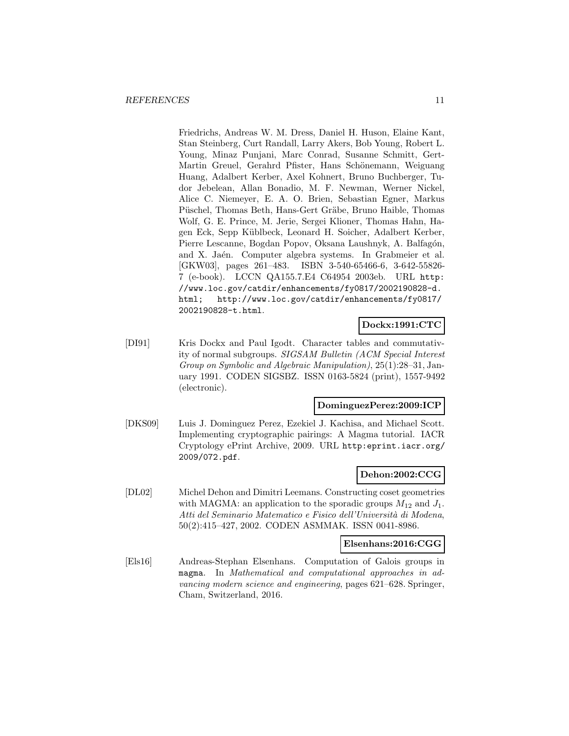Friedrichs, Andreas W. M. Dress, Daniel H. Huson, Elaine Kant, Stan Steinberg, Curt Randall, Larry Akers, Bob Young, Robert L. Young, Minaz Punjani, Marc Conrad, Susanne Schmitt, Gert-Martin Greuel, Gerahrd Pfister, Hans Schönemann, Weiguang Huang, Adalbert Kerber, Axel Kohnert, Bruno Buchberger, Tudor Jebelean, Allan Bonadio, M. F. Newman, Werner Nickel, Alice C. Niemeyer, E. A. O. Brien, Sebastian Egner, Markus Püschel, Thomas Beth, Hans-Gert Gräbe, Bruno Haible, Thomas Wolf, G. E. Prince, M. Jerie, Sergei Klioner, Thomas Hahn, Hagen Eck, Sepp K¨ublbeck, Leonard H. Soicher, Adalbert Kerber, Pierre Lescanne, Bogdan Popov, Oksana Laushnyk, A. Balfagón, and X. Jaén. Computer algebra systems. In Grabmeier et al. [GKW03], pages 261–483. ISBN 3-540-65466-6, 3-642-55826- 7 (e-book). LCCN QA155.7.E4 C64954 2003eb. URL http: //www.loc.gov/catdir/enhancements/fy0817/2002190828-d. html; http://www.loc.gov/catdir/enhancements/fy0817/ 2002190828-t.html.

### **Dockx:1991:CTC**

[DI91] Kris Dockx and Paul Igodt. Character tables and commutativity of normal subgroups. SIGSAM Bulletin (ACM Special Interest Group on Symbolic and Algebraic Manipulation), 25(1):28–31, January 1991. CODEN SIGSBZ. ISSN 0163-5824 (print), 1557-9492 (electronic).

#### **DominguezPerez:2009:ICP**

[DKS09] Luis J. Dominguez Perez, Ezekiel J. Kachisa, and Michael Scott. Implementing cryptographic pairings: A Magma tutorial. IACR Cryptology ePrint Archive, 2009. URL http:eprint.iacr.org/ 2009/072.pdf.

### **Dehon:2002:CCG**

[DL02] Michel Dehon and Dimitri Leemans. Constructing coset geometries with MAGMA: an application to the sporadic groups  $M_{12}$  and  $J_1$ . Atti del Seminario Matematico e Fisico dell'Università di Modena, 50(2):415–427, 2002. CODEN ASMMAK. ISSN 0041-8986.

#### **Elsenhans:2016:CGG**

[Els16] Andreas-Stephan Elsenhans. Computation of Galois groups in magma. In Mathematical and computational approaches in advancing modern science and engineering, pages 621–628. Springer, Cham, Switzerland, 2016.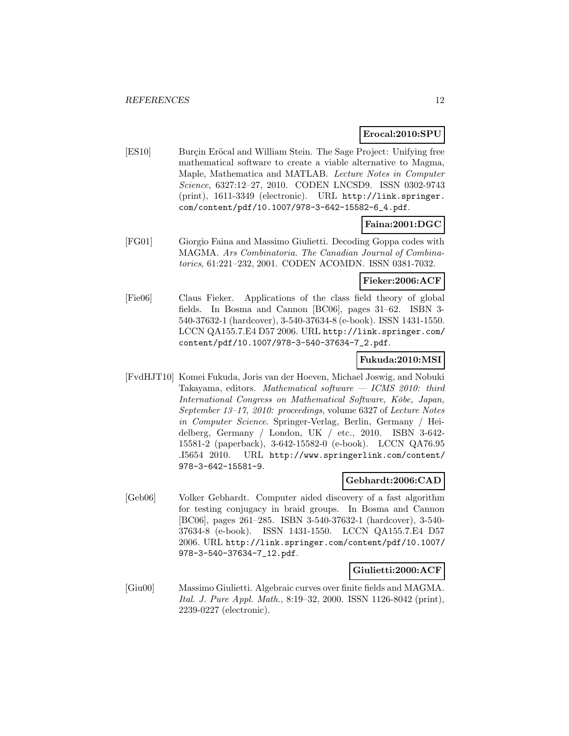#### **Erocal:2010:SPU**

[ES10] Burçin Eröcal and William Stein. The Sage Project: Unifying free mathematical software to create a viable alternative to Magma, Maple, Mathematica and MATLAB. Lecture Notes in Computer Science, 6327:12–27, 2010. CODEN LNCSD9. ISSN 0302-9743 (print), 1611-3349 (electronic). URL http://link.springer. com/content/pdf/10.1007/978-3-642-15582-6\_4.pdf.

### **Faina:2001:DGC**

[FG01] Giorgio Faina and Massimo Giulietti. Decoding Goppa codes with MAGMA. Ars Combinatoria. The Canadian Journal of Combinatorics, 61:221–232, 2001. CODEN ACOMDN. ISSN 0381-7032.

#### **Fieker:2006:ACF**

[Fie06] Claus Fieker. Applications of the class field theory of global fields. In Bosma and Cannon [BC06], pages 31–62. ISBN 3- 540-37632-1 (hardcover), 3-540-37634-8 (e-book). ISSN 1431-1550. LCCN QA155.7.E4 D57 2006. URL http://link.springer.com/ content/pdf/10.1007/978-3-540-37634-7\_2.pdf.

### **Fukuda:2010:MSI**

[FvdHJT10] Komei Fukuda, Joris van der Hoeven, Michael Joswig, and Nobuki Takayama, editors. Mathematical software — ICMS 2010: third International Congress on Mathematical Software, Kōbe, Japan, September 13–17, 2010: proceedings, volume 6327 of Lecture Notes in Computer Science. Springer-Verlag, Berlin, Germany / Heidelberg, Germany / London, UK / etc., 2010. ISBN 3-642- 15581-2 (paperback), 3-642-15582-0 (e-book). LCCN QA76.95 .I5654 2010. URL http://www.springerlink.com/content/ 978-3-642-15581-9.

#### **Gebhardt:2006:CAD**

[Geb06] Volker Gebhardt. Computer aided discovery of a fast algorithm for testing conjugacy in braid groups. In Bosma and Cannon [BC06], pages 261–285. ISBN 3-540-37632-1 (hardcover), 3-540- 37634-8 (e-book). ISSN 1431-1550. LCCN QA155.7.E4 D57 2006. URL http://link.springer.com/content/pdf/10.1007/ 978-3-540-37634-7\_12.pdf.

#### **Giulietti:2000:ACF**

[Giu00] Massimo Giulietti. Algebraic curves over finite fields and MAGMA. Ital. J. Pure Appl. Math., 8:19–32, 2000. ISSN 1126-8042 (print), 2239-0227 (electronic).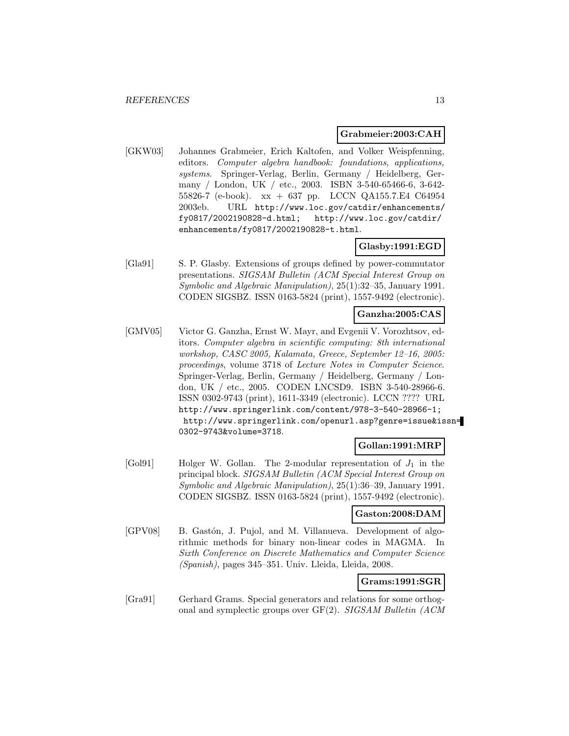#### **Grabmeier:2003:CAH**

[GKW03] Johannes Grabmeier, Erich Kaltofen, and Volker Weispfenning, editors. Computer algebra handbook: foundations, applications, systems. Springer-Verlag, Berlin, Germany / Heidelberg, Germany / London, UK / etc., 2003. ISBN 3-540-65466-6, 3-642- 55826-7 (e-book). xx + 637 pp. LCCN QA155.7.E4 C64954 2003eb. URL http://www.loc.gov/catdir/enhancements/ fy0817/2002190828-d.html; http://www.loc.gov/catdir/ enhancements/fy0817/2002190828-t.html.

#### **Glasby:1991:EGD**

[Gla91] S. P. Glasby. Extensions of groups defined by power-commutator presentations. SIGSAM Bulletin (ACM Special Interest Group on Symbolic and Algebraic Manipulation), 25(1):32–35, January 1991. CODEN SIGSBZ. ISSN 0163-5824 (print), 1557-9492 (electronic).

#### **Ganzha:2005:CAS**

[GMV05] Victor G. Ganzha, Ernst W. Mayr, and Evgenii V. Vorozhtsov, editors. Computer algebra in scientific computing: 8th international workshop, CASC 2005, Kalamata, Greece, September 12–16, 2005: proceedings, volume 3718 of Lecture Notes in Computer Science. Springer-Verlag, Berlin, Germany / Heidelberg, Germany / London, UK / etc., 2005. CODEN LNCSD9. ISBN 3-540-28966-6. ISSN 0302-9743 (print), 1611-3349 (electronic). LCCN ???? URL http://www.springerlink.com/content/978-3-540-28966-1; http://www.springerlink.com/openurl.asp?genre=issue&issn= 0302-9743&volume=3718.

### **Gollan:1991:MRP**

 $[Gol91]$  Holger W. Gollan. The 2-modular representation of  $J_1$  in the principal block. SIGSAM Bulletin (ACM Special Interest Group on Symbolic and Algebraic Manipulation), 25(1):36–39, January 1991. CODEN SIGSBZ. ISSN 0163-5824 (print), 1557-9492 (electronic).

#### **Gaston:2008:DAM**

[GPV08] B. Gastón, J. Pujol, and M. Villanueva. Development of algorithmic methods for binary non-linear codes in MAGMA. In Sixth Conference on Discrete Mathematics and Computer Science (Spanish), pages 345–351. Univ. Lleida, Lleida, 2008.

### **Grams:1991:SGR**

[Gra91] Gerhard Grams. Special generators and relations for some orthogonal and symplectic groups over GF(2). SIGSAM Bulletin (ACM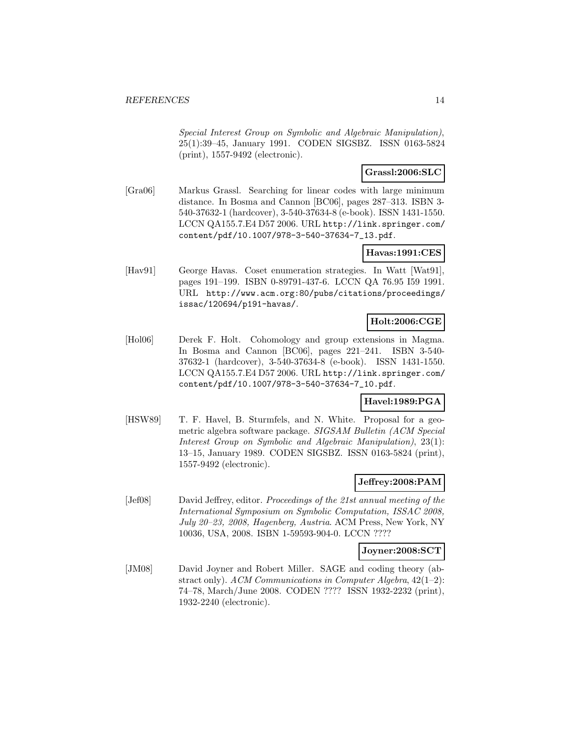Special Interest Group on Symbolic and Algebraic Manipulation), 25(1):39–45, January 1991. CODEN SIGSBZ. ISSN 0163-5824 (print), 1557-9492 (electronic).

#### **Grassl:2006:SLC**

[Gra06] Markus Grassl. Searching for linear codes with large minimum distance. In Bosma and Cannon [BC06], pages 287–313. ISBN 3- 540-37632-1 (hardcover), 3-540-37634-8 (e-book). ISSN 1431-1550. LCCN QA155.7.E4 D57 2006. URL http://link.springer.com/ content/pdf/10.1007/978-3-540-37634-7\_13.pdf.

### **Havas:1991:CES**

[Hav91] George Havas. Coset enumeration strategies. In Watt [Wat91], pages 191–199. ISBN 0-89791-437-6. LCCN QA 76.95 I59 1991. URL http://www.acm.org:80/pubs/citations/proceedings/ issac/120694/p191-havas/.

# **Holt:2006:CGE**

[Hol06] Derek F. Holt. Cohomology and group extensions in Magma. In Bosma and Cannon [BC06], pages 221–241. ISBN 3-540- 37632-1 (hardcover), 3-540-37634-8 (e-book). ISSN 1431-1550. LCCN QA155.7.E4 D57 2006. URL http://link.springer.com/ content/pdf/10.1007/978-3-540-37634-7\_10.pdf.

### **Havel:1989:PGA**

[HSW89] T. F. Havel, B. Sturmfels, and N. White. Proposal for a geometric algebra software package. SIGSAM Bulletin (ACM Special Interest Group on Symbolic and Algebraic Manipulation), 23(1): 13–15, January 1989. CODEN SIGSBZ. ISSN 0163-5824 (print), 1557-9492 (electronic).

### **Jeffrey:2008:PAM**

[Jef08] David Jeffrey, editor. Proceedings of the 21st annual meeting of the International Symposium on Symbolic Computation, ISSAC 2008, July 20–23, 2008, Hagenberg, Austria. ACM Press, New York, NY 10036, USA, 2008. ISBN 1-59593-904-0. LCCN ????

### **Joyner:2008:SCT**

[JM08] David Joyner and Robert Miller. SAGE and coding theory (abstract only). ACM Communications in Computer Algebra,  $42(1-2)$ : 74–78, March/June 2008. CODEN ???? ISSN 1932-2232 (print), 1932-2240 (electronic).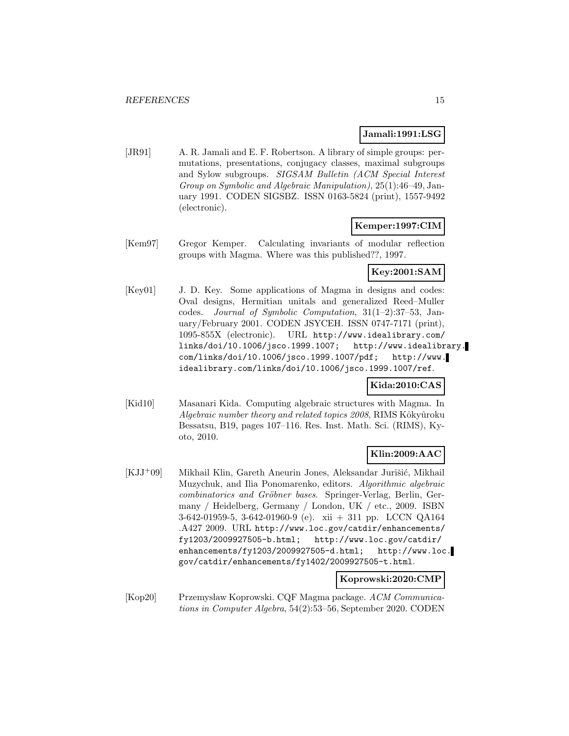#### **Jamali:1991:LSG**

[JR91] A. R. Jamali and E. F. Robertson. A library of simple groups: permutations, presentations, conjugacy classes, maximal subgroups and Sylow subgroups. SIGSAM Bulletin (ACM Special Interest Group on Symbolic and Algebraic Manipulation), 25(1):46–49, January 1991. CODEN SIGSBZ. ISSN 0163-5824 (print), 1557-9492 (electronic).

#### **Kemper:1997:CIM**

[Kem97] Gregor Kemper. Calculating invariants of modular reflection groups with Magma. Where was this published??, 1997.

#### **Key:2001:SAM**

[Key01] J. D. Key. Some applications of Magma in designs and codes: Oval designs, Hermitian unitals and generalized Reed–Muller codes. Journal of Symbolic Computation, 31(1–2):37–53, January/February 2001. CODEN JSYCEH. ISSN 0747-7171 (print), 1095-855X (electronic). URL http://www.idealibrary.com/ links/doi/10.1006/jsco.1999.1007; http://www.idealibrary. com/links/doi/10.1006/jsco.1999.1007/pdf; http://www. idealibrary.com/links/doi/10.1006/jsco.1999.1007/ref.

#### **Kida:2010:CAS**

[Kid10] Masanari Kida. Computing algebraic structures with Magma. In Algebraic number theory and related topics 2008, RIMS Kôkyûroku Bessatsu, B19, pages 107–116. Res. Inst. Math. Sci. (RIMS), Kyoto, 2010.

### **Klin:2009:AAC**

[KJJ+09] Mikhail Klin, Gareth Aneurin Jones, Aleksandar Jurišić, Mikhail Muzychuk, and Ilia Ponomarenko, editors. Algorithmic algebraic combinatorics and Gröbner bases. Springer-Verlag, Berlin, Germany / Heidelberg, Germany / London, UK / etc., 2009. ISBN 3-642-01959-5, 3-642-01960-9 (e). xii + 311 pp. LCCN QA164 .A427 2009. URL http://www.loc.gov/catdir/enhancements/ fy1203/2009927505-b.html; http://www.loc.gov/catdir/ enhancements/fy1203/2009927505-d.html; http://www.loc. gov/catdir/enhancements/fy1402/2009927505-t.html.

#### **Koprowski:2020:CMP**

[Kop20] Przemysław Koprowski. CQF Magma package. ACM Communications in Computer Algebra, 54(2):53–56, September 2020. CODEN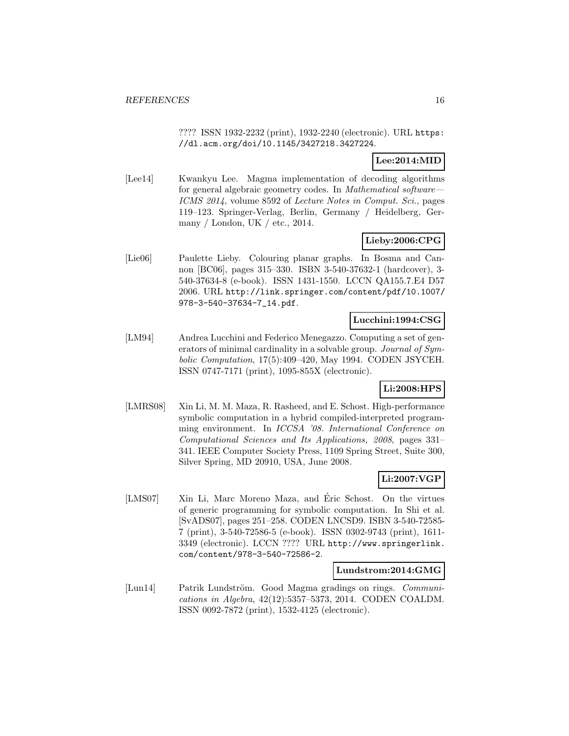#### *REFERENCES* 16

???? ISSN 1932-2232 (print), 1932-2240 (electronic). URL https: //dl.acm.org/doi/10.1145/3427218.3427224.

### **Lee:2014:MID**

[Lee14] Kwankyu Lee. Magma implementation of decoding algorithms for general algebraic geometry codes. In *Mathematical software*— ICMS 2014, volume 8592 of Lecture Notes in Comput. Sci., pages 119–123. Springer-Verlag, Berlin, Germany / Heidelberg, Germany / London, UK / etc., 2014.

### **Lieby:2006:CPG**

[Lie06] Paulette Lieby. Colouring planar graphs. In Bosma and Cannon [BC06], pages 315–330. ISBN 3-540-37632-1 (hardcover), 3- 540-37634-8 (e-book). ISSN 1431-1550. LCCN QA155.7.E4 D57 2006. URL http://link.springer.com/content/pdf/10.1007/ 978-3-540-37634-7\_14.pdf.

#### **Lucchini:1994:CSG**

[LM94] Andrea Lucchini and Federico Menegazzo. Computing a set of generators of minimal cardinality in a solvable group. Journal of Symbolic Computation, 17(5):409–420, May 1994. CODEN JSYCEH. ISSN 0747-7171 (print), 1095-855X (electronic).

### **Li:2008:HPS**

[LMRS08] Xin Li, M. M. Maza, R. Rasheed, and E. Schost. High-performance symbolic computation in a hybrid compiled-interpreted programming environment. In ICCSA '08. International Conference on Computational Sciences and Its Applications, 2008, pages 331– 341. IEEE Computer Society Press, 1109 Spring Street, Suite 300, Silver Spring, MD 20910, USA, June 2008.

#### **Li:2007:VGP**

[LMS07] Xin Li, Marc Moreno Maza, and Eric Schost. On the virtues of generic programming for symbolic computation. In Shi et al. [SvADS07], pages 251–258. CODEN LNCSD9. ISBN 3-540-72585- 7 (print), 3-540-72586-5 (e-book). ISSN 0302-9743 (print), 1611- 3349 (electronic). LCCN ???? URL http://www.springerlink. com/content/978-3-540-72586-2.

#### **Lundstrom:2014:GMG**

[Lun14] Patrik Lundström. Good Magma gradings on rings. Communications in Algebra, 42(12):5357–5373, 2014. CODEN COALDM. ISSN 0092-7872 (print), 1532-4125 (electronic).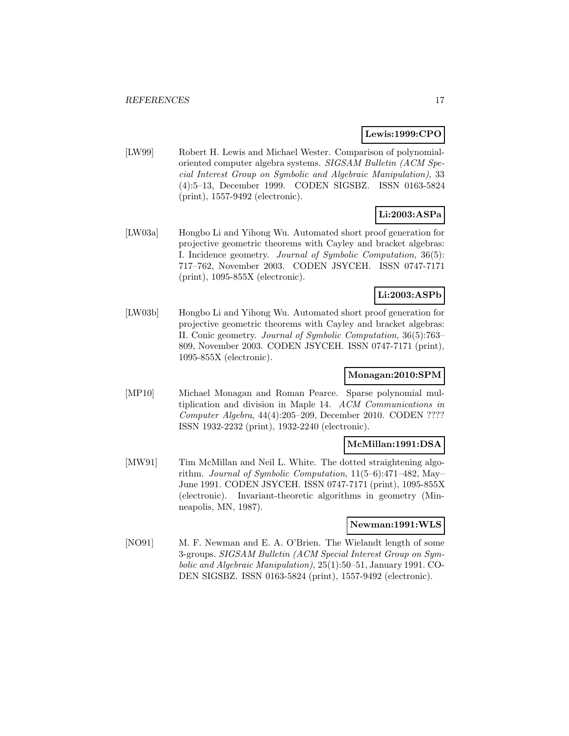#### **Lewis:1999:CPO**

[LW99] Robert H. Lewis and Michael Wester. Comparison of polynomialoriented computer algebra systems. SIGSAM Bulletin (ACM Special Interest Group on Symbolic and Algebraic Manipulation), 33 (4):5–13, December 1999. CODEN SIGSBZ. ISSN 0163-5824 (print), 1557-9492 (electronic).

# **Li:2003:ASPa**

[LW03a] Hongbo Li and Yihong Wu. Automated short proof generation for projective geometric theorems with Cayley and bracket algebras: I. Incidence geometry. Journal of Symbolic Computation, 36(5): 717–762, November 2003. CODEN JSYCEH. ISSN 0747-7171 (print), 1095-855X (electronic).

### **Li:2003:ASPb**

[LW03b] Hongbo Li and Yihong Wu. Automated short proof generation for projective geometric theorems with Cayley and bracket algebras: II. Conic geometry. Journal of Symbolic Computation, 36(5):763– 809, November 2003. CODEN JSYCEH. ISSN 0747-7171 (print), 1095-855X (electronic).

### **Monagan:2010:SPM**

[MP10] Michael Monagan and Roman Pearce. Sparse polynomial multiplication and division in Maple 14. ACM Communications in Computer Algebra, 44(4):205–209, December 2010. CODEN ???? ISSN 1932-2232 (print), 1932-2240 (electronic).

### **McMillan:1991:DSA**

[MW91] Tim McMillan and Neil L. White. The dotted straightening algorithm. Journal of Symbolic Computation, 11(5–6):471–482, May– June 1991. CODEN JSYCEH. ISSN 0747-7171 (print), 1095-855X (electronic). Invariant-theoretic algorithms in geometry (Minneapolis, MN, 1987).

### **Newman:1991:WLS**

[NO91] M. F. Newman and E. A. O'Brien. The Wielandt length of some 3-groups. SIGSAM Bulletin (ACM Special Interest Group on Symbolic and Algebraic Manipulation), 25(1):50–51, January 1991. CO-DEN SIGSBZ. ISSN 0163-5824 (print), 1557-9492 (electronic).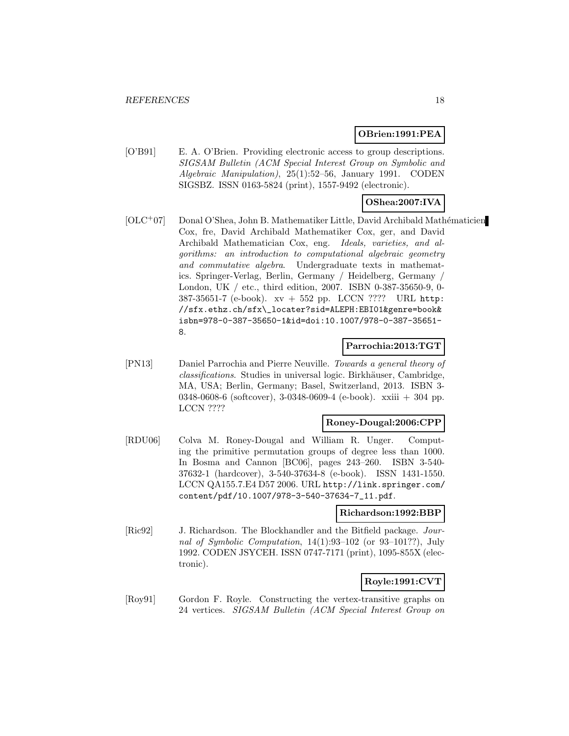### **OBrien:1991:PEA**

[O'B91] E. A. O'Brien. Providing electronic access to group descriptions. SIGSAM Bulletin (ACM Special Interest Group on Symbolic and Algebraic Manipulation), 25(1):52–56, January 1991. CODEN SIGSBZ. ISSN 0163-5824 (print), 1557-9492 (electronic).

### **OShea:2007:IVA**

 $[OLC+07]$  Donal O'Shea, John B. Mathematiker Little, David Archibald Mathématicien Cox, fre, David Archibald Mathematiker Cox, ger, and David Archibald Mathematician Cox, eng. Ideals, varieties, and algorithms: an introduction to computational algebraic geometry and commutative algebra. Undergraduate texts in mathematics. Springer-Verlag, Berlin, Germany / Heidelberg, Germany / London, UK / etc., third edition, 2007. ISBN 0-387-35650-9, 0- 387-35651-7 (e-book). xv + 552 pp. LCCN ???? URL http: //sfx.ethz.ch/sfx\\_locater?sid=ALEPH:EBI01&genre=book& isbn=978-0-387-35650-1&id=doi:10.1007/978-0-387-35651- 8.

#### **Parrochia:2013:TGT**

[PN13] Daniel Parrochia and Pierre Neuville. Towards a general theory of classifications. Studies in universal logic. Birkhäuser, Cambridge, MA, USA; Berlin, Germany; Basel, Switzerland, 2013. ISBN 3- 0348-0608-6 (softcover), 3-0348-0609-4 (e-book). xxiii + 304 pp. LCCN ????

#### **Roney-Dougal:2006:CPP**

[RDU06] Colva M. Roney-Dougal and William R. Unger. Computing the primitive permutation groups of degree less than 1000. In Bosma and Cannon [BC06], pages 243–260. ISBN 3-540- 37632-1 (hardcover), 3-540-37634-8 (e-book). ISSN 1431-1550. LCCN QA155.7.E4 D57 2006. URL http://link.springer.com/ content/pdf/10.1007/978-3-540-37634-7\_11.pdf.

#### **Richardson:1992:BBP**

[Ric92] J. Richardson. The Blockhandler and the Bitfield package. Journal of Symbolic Computation, 14(1):93–102 (or 93–101??), July 1992. CODEN JSYCEH. ISSN 0747-7171 (print), 1095-855X (electronic).

# **Royle:1991:CVT**

[Roy91] Gordon F. Royle. Constructing the vertex-transitive graphs on 24 vertices. SIGSAM Bulletin (ACM Special Interest Group on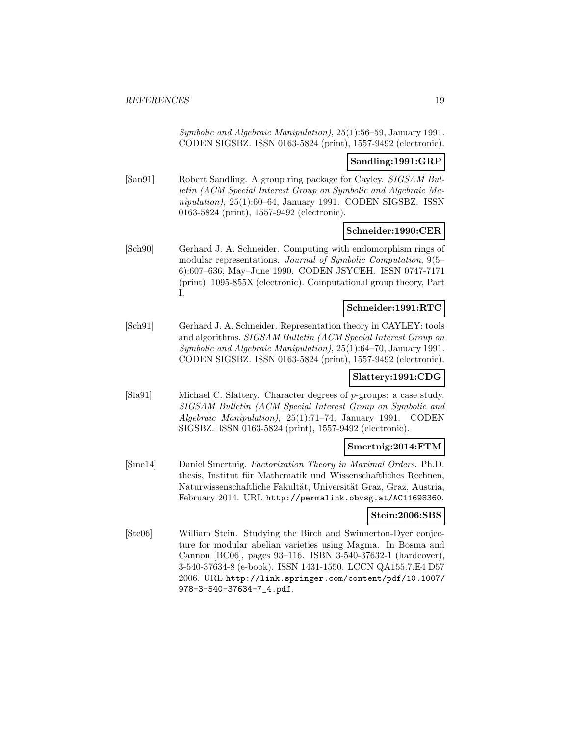Symbolic and Algebraic Manipulation), 25(1):56–59, January 1991. CODEN SIGSBZ. ISSN 0163-5824 (print), 1557-9492 (electronic).

#### **Sandling:1991:GRP**

[San91] Robert Sandling. A group ring package for Cayley. SIGSAM Bulletin (ACM Special Interest Group on Symbolic and Algebraic Manipulation), 25(1):60–64, January 1991. CODEN SIGSBZ. ISSN 0163-5824 (print), 1557-9492 (electronic).

#### **Schneider:1990:CER**

[Sch90] Gerhard J. A. Schneider. Computing with endomorphism rings of modular representations. Journal of Symbolic Computation, 9(5– 6):607–636, May–June 1990. CODEN JSYCEH. ISSN 0747-7171 (print), 1095-855X (electronic). Computational group theory, Part I.

### **Schneider:1991:RTC**

[Sch91] Gerhard J. A. Schneider. Representation theory in CAYLEY: tools and algorithms. SIGSAM Bulletin (ACM Special Interest Group on Symbolic and Algebraic Manipulation), 25(1):64–70, January 1991. CODEN SIGSBZ. ISSN 0163-5824 (print), 1557-9492 (electronic).

#### **Slattery:1991:CDG**

[Sla91] Michael C. Slattery. Character degrees of p-groups: a case study. SIGSAM Bulletin (ACM Special Interest Group on Symbolic and Algebraic Manipulation), 25(1):71–74, January 1991. CODEN SIGSBZ. ISSN 0163-5824 (print), 1557-9492 (electronic).

#### **Smertnig:2014:FTM**

[Sme14] Daniel Smertnig. Factorization Theory in Maximal Orders. Ph.D. thesis, Institut für Mathematik und Wissenschaftliches Rechnen, Naturwissenschaftliche Fakultät, Universität Graz, Graz, Austria, February 2014. URL http://permalink.obvsg.at/AC11698360.

#### **Stein:2006:SBS**

[Ste06] William Stein. Studying the Birch and Swinnerton-Dyer conjecture for modular abelian varieties using Magma. In Bosma and Cannon [BC06], pages 93–116. ISBN 3-540-37632-1 (hardcover), 3-540-37634-8 (e-book). ISSN 1431-1550. LCCN QA155.7.E4 D57 2006. URL http://link.springer.com/content/pdf/10.1007/ 978-3-540-37634-7\_4.pdf.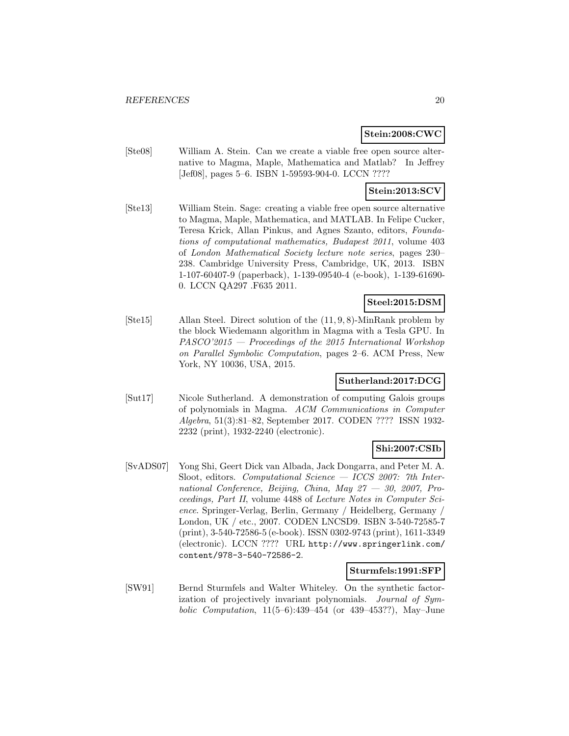#### **Stein:2008:CWC**

[Ste08] William A. Stein. Can we create a viable free open source alternative to Magma, Maple, Mathematica and Matlab? In Jeffrey [Jef08], pages 5–6. ISBN 1-59593-904-0. LCCN ????

### **Stein:2013:SCV**

[Ste13] William Stein. Sage: creating a viable free open source alternative to Magma, Maple, Mathematica, and MATLAB. In Felipe Cucker, Teresa Krick, Allan Pinkus, and Agnes Szanto, editors, Foundations of computational mathematics, Budapest 2011, volume 403 of London Mathematical Society lecture note series, pages 230– 238. Cambridge University Press, Cambridge, UK, 2013. ISBN 1-107-60407-9 (paperback), 1-139-09540-4 (e-book), 1-139-61690- 0. LCCN QA297 .F635 2011.

### **Steel:2015:DSM**

[Ste15] Allan Steel. Direct solution of the (11, 9, 8)-MinRank problem by the block Wiedemann algorithm in Magma with a Tesla GPU. In PASCO'2015 — Proceedings of the 2015 International Workshop on Parallel Symbolic Computation, pages 2–6. ACM Press, New York, NY 10036, USA, 2015.

#### **Sutherland:2017:DCG**

[Sut17] Nicole Sutherland. A demonstration of computing Galois groups of polynomials in Magma. ACM Communications in Computer Algebra, 51(3):81–82, September 2017. CODEN ???? ISSN 1932- 2232 (print), 1932-2240 (electronic).

### **Shi:2007:CSIb**

[SvADS07] Yong Shi, Geert Dick van Albada, Jack Dongarra, and Peter M. A. Sloot, editors. Computational Science  $-$  ICCS 2007: 7th International Conference, Beijing, China, May 27 — 30, 2007, Proceedings, Part II, volume 4488 of Lecture Notes in Computer Science. Springer-Verlag, Berlin, Germany / Heidelberg, Germany / London, UK / etc., 2007. CODEN LNCSD9. ISBN 3-540-72585-7 (print), 3-540-72586-5 (e-book). ISSN 0302-9743 (print), 1611-3349 (electronic). LCCN ???? URL http://www.springerlink.com/ content/978-3-540-72586-2.

### **Sturmfels:1991:SFP**

[SW91] Bernd Sturmfels and Walter Whiteley. On the synthetic factorization of projectively invariant polynomials. Journal of Symbolic Computation, 11(5–6):439–454 (or 439–453??), May–June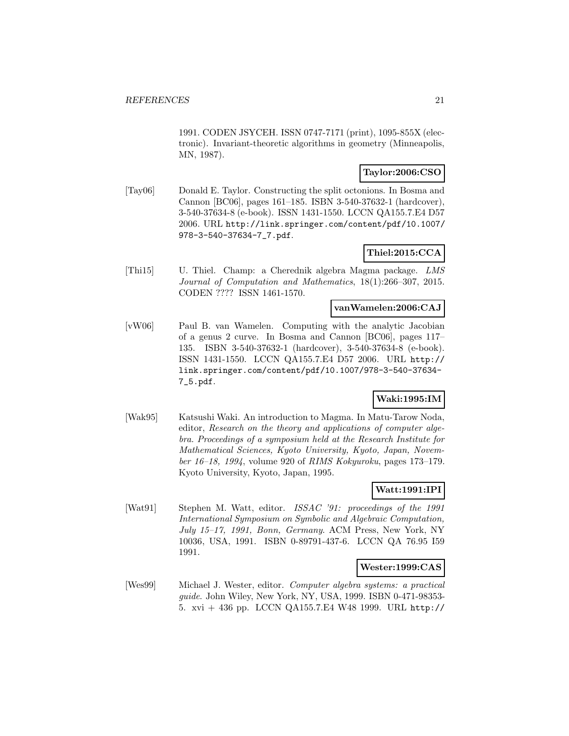1991. CODEN JSYCEH. ISSN 0747-7171 (print), 1095-855X (electronic). Invariant-theoretic algorithms in geometry (Minneapolis, MN, 1987).

### **Taylor:2006:CSO**

[Tay06] Donald E. Taylor. Constructing the split octonions. In Bosma and Cannon [BC06], pages 161–185. ISBN 3-540-37632-1 (hardcover), 3-540-37634-8 (e-book). ISSN 1431-1550. LCCN QA155.7.E4 D57 2006. URL http://link.springer.com/content/pdf/10.1007/ 978-3-540-37634-7\_7.pdf.

# **Thiel:2015:CCA**

[Thi15] U. Thiel. Champ: a Cherednik algebra Magma package. LMS Journal of Computation and Mathematics, 18(1):266–307, 2015. CODEN ???? ISSN 1461-1570.

### **vanWamelen:2006:CAJ**

[vW06] Paul B. van Wamelen. Computing with the analytic Jacobian of a genus 2 curve. In Bosma and Cannon [BC06], pages 117– 135. ISBN 3-540-37632-1 (hardcover), 3-540-37634-8 (e-book). ISSN 1431-1550. LCCN QA155.7.E4 D57 2006. URL http:// link.springer.com/content/pdf/10.1007/978-3-540-37634- 7\_5.pdf.

### **Waki:1995:IM**

[Wak95] Katsushi Waki. An introduction to Magma. In Matu-Tarow Noda, editor, Research on the theory and applications of computer algebra. Proceedings of a symposium held at the Research Institute for Mathematical Sciences, Kyoto University, Kyoto, Japan, November 16–18, 1994, volume 920 of RIMS Kokyuroku, pages 173–179. Kyoto University, Kyoto, Japan, 1995.

# **Watt:1991:IPI**

[Wat91] Stephen M. Watt, editor. *ISSAC* '91: proceedings of the 1991 International Symposium on Symbolic and Algebraic Computation, July 15–17, 1991, Bonn, Germany. ACM Press, New York, NY 10036, USA, 1991. ISBN 0-89791-437-6. LCCN QA 76.95 I59 1991.

### **Wester:1999:CAS**

[Wes99] Michael J. Wester, editor. Computer algebra systems: a practical guide. John Wiley, New York, NY, USA, 1999. ISBN 0-471-98353- 5. xvi + 436 pp. LCCN QA155.7.E4 W48 1999. URL http://